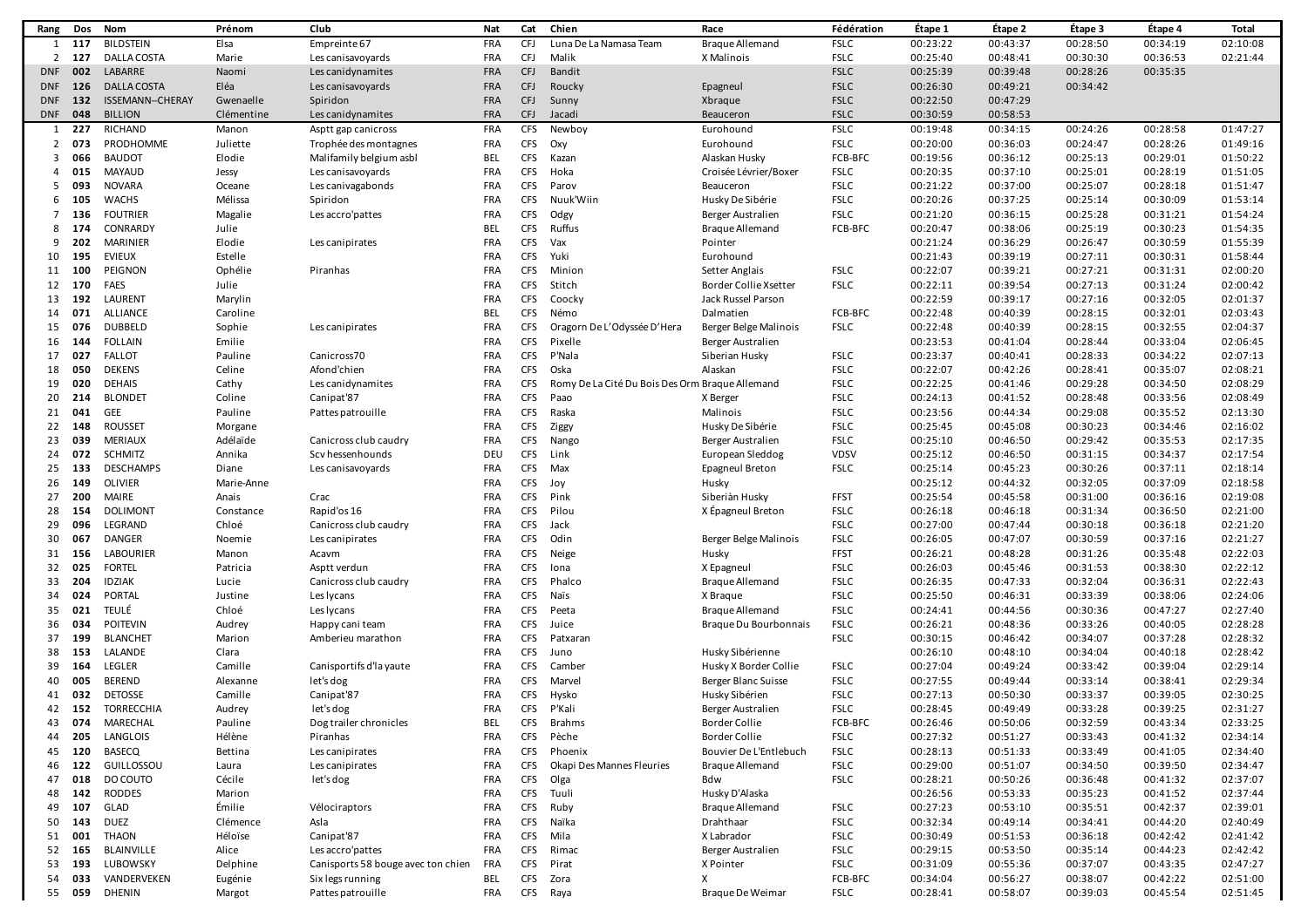| Rang       | Dos    | Nom                     | Prénom     | Club                               | Nat               | Cat        | Chien                                           | Race                         | Fédération  | Étape 1  | Étape 2  | Étape 3  | Étape 4  | Total    |
|------------|--------|-------------------------|------------|------------------------------------|-------------------|------------|-------------------------------------------------|------------------------------|-------------|----------|----------|----------|----------|----------|
| 1          | 117    | <b>BILDSTEIN</b>        | Elsa       | Empreinte 67                       | FRA               | <b>CFJ</b> | Luna De La Namasa Team                          | <b>Braque Allemand</b>       | <b>FSLC</b> | 00:23:22 | 00:43:37 | 00:28:50 | 00:34:19 | 02:10:08 |
| 2          | 127    | <b>DALLA COSTA</b>      | Marie      | Les canisavoyards                  | FRA               | <b>CFJ</b> | Malik                                           | X Malinois                   | <b>FSLC</b> | 00:25:40 | 00:48:41 | 00:30:30 | 00:36:53 | 02:21:44 |
| DNF        | 002    | LABARRE                 | Naomi      | Les canidynamites                  | <b>FRA</b>        | <b>CFJ</b> | <b>Bandit</b>                                   |                              | <b>FSLC</b> | 00:25:39 | 00:39:48 | 00:28:26 | 00:35:35 |          |
| <b>DNF</b> | 126    | <b>DALLA COSTA</b>      | Eléa       | Les canisavoyards                  | <b>FRA</b>        | <b>CFJ</b> | Roucky                                          | Epagneul                     | <b>FSLC</b> | 00:26:30 | 00:49:21 | 00:34:42 |          |          |
| <b>DNF</b> | 132    | <b>ISSEMANN--CHERAY</b> | Gwenaelle  | Spiridon                           | <b>FRA</b>        | <b>CFJ</b> | Sunny                                           | Xbraque                      | <b>FSLC</b> | 00:22:50 | 00:47:29 |          |          |          |
| <b>DNF</b> | 048    | <b>BILLION</b>          | Clémentine | Les canidynamites                  | <b>FRA</b>        | <b>CFJ</b> | Jacadi                                          | Beauceron                    | <b>FSLC</b> | 00:30:59 | 00:58:53 |          |          |          |
| 1          | 227    | RICHAND                 | Manon      | Asptt gap canicross                | <b>FRA</b>        | <b>CFS</b> | Newboy                                          | Eurohound                    | <b>FSLC</b> | 00:19:48 | 00:34:15 | 00:24:26 | 00:28:58 | 01:47:27 |
|            |        | PRODHOMME               |            |                                    |                   |            |                                                 |                              |             |          |          |          | 00:28:26 |          |
| 2          | 073    |                         | Juliette   | Trophée des montagnes              | <b>FRA</b>        | <b>CFS</b> | Oxy                                             | Eurohound                    | <b>FSLC</b> | 00:20:00 | 00:36:03 | 00:24:47 |          | 01:49:16 |
| 3          | 066    | <b>BAUDOT</b>           | Elodie     | Malifamily belgium asbl            | <b>BEL</b>        | CFS        | Kazan                                           | Alaskan Husky                | FCB-BFC     | 00:19:56 | 00:36:12 | 00:25:13 | 00:29:01 | 01:50:22 |
| 4          | 015    | <b>MAYAUD</b>           | Jessy      | Les canisavoyards                  | <b>FRA</b>        | <b>CFS</b> | Hoka                                            | Croisée Lévrier/Boxer        | <b>FSLC</b> | 00:20:35 | 00:37:10 | 00:25:01 | 00:28:19 | 01:51:05 |
| 5          | 093    | <b>NOVARA</b>           | Oceane     | Les canivagabonds                  | <b>FRA</b>        | <b>CFS</b> | Parov                                           | Beauceron                    | <b>FSLC</b> | 00:21:22 | 00:37:00 | 00:25:07 | 00:28:18 | 01:51:47 |
| 6          | 105    | <b>WACHS</b>            | Mélissa    | Spiridon                           | <b>FRA</b>        | <b>CFS</b> | Nuuk'Wiin                                       | Husky De Sibérie             | <b>FSLC</b> | 00:20:26 | 00:37:25 | 00:25:14 | 00:30:09 | 01:53:14 |
| 7          | 136    | <b>FOUTRIER</b>         | Magalie    | Les accro'pattes                   | FRA               | <b>CFS</b> | Odgy                                            | Berger Australien            | <b>FSLC</b> | 00:21:20 | 00:36:15 | 00:25:28 | 00:31:21 | 01:54:24 |
| 8          | 174    | CONRARDY                | Julie      |                                    | <b>BEL</b>        | <b>CFS</b> | Ruffus                                          | <b>Braque Allemand</b>       | FCB-BFC     | 00:20:47 | 00:38:06 | 00:25:19 | 00:30:23 | 01:54:35 |
| 9          | 202    | <b>MARINIER</b>         | Elodie     | Les canipirates                    | <b>FRA</b>        | <b>CFS</b> | Vax                                             | Pointer                      |             | 00:21:24 | 00:36:29 | 00:26:47 | 00:30:59 | 01:55:39 |
| 10         | 195    | <b>EVIEUX</b>           | Estelle    |                                    | FRA               | <b>CFS</b> | Yuki                                            | Eurohound                    |             | 00:21:43 | 00:39:19 | 00:27:11 | 00:30:31 | 01:58:44 |
| 11         | 100    | PEIGNON                 | Ophélie    | Piranhas                           | FRA               | <b>CFS</b> | Minion                                          | Setter Anglais               | <b>FSLC</b> | 00:22:07 | 00:39:21 | 00:27:21 | 00:31:31 | 02:00:20 |
| 12         | 170    | FAES                    | Julie      |                                    | FRA               | <b>CFS</b> | Stitch                                          | <b>Border Collie Xsetter</b> | <b>FSLC</b> | 00:22:11 | 00:39:54 | 00:27:13 | 00:31:24 | 02:00:42 |
| 13         | 192    | LAURENT                 | Marylin    |                                    | FRA               | <b>CFS</b> | Coocky                                          | Jack Russel Parson           |             | 00:22:59 | 00:39:17 | 00:27:16 | 00:32:05 | 02:01:37 |
| 14         | 071    | ALLIANCE                | Caroline   |                                    | <b>BEL</b>        | <b>CFS</b> | Némo                                            | Dalmatien                    | FCB-BFC     | 00:22:48 | 00:40:39 | 00:28:15 | 00:32:01 | 02:03:43 |
| 15         | 076    | <b>DUBBELD</b>          | Sophie     | Les canipirates                    | <b>FRA</b>        | <b>CFS</b> | Oragorn De L'Odyssée D'Hera                     | Berger Belge Malinois        | <b>FSLC</b> | 00:22:48 | 00:40:39 | 00:28:15 | 00:32:55 | 02:04:37 |
| 16         | 144    | <b>FOLLAIN</b>          | Emilie     |                                    | <b>FRA</b>        | <b>CFS</b> | Pixelle                                         | Berger Australien            |             | 00:23:53 | 00:41:04 | 00:28:44 | 00:33:04 | 02:06:45 |
| 17         | 027    | <b>FALLOT</b>           | Pauline    | Canicross70                        | <b>FRA</b>        | <b>CFS</b> | P'Nala                                          | Siberian Husky               | <b>FSLC</b> | 00:23:37 | 00:40:41 | 00:28:33 | 00:34:22 | 02:07:13 |
| 18         | 050    | <b>DEKENS</b>           | Celine     | Afond'chien                        | <b>FRA</b>        | <b>CFS</b> | Oska                                            | Alaskan                      | <b>FSLC</b> | 00:22:07 | 00:42:26 | 00:28:41 | 00:35:07 | 02:08:21 |
| 19         | 020    | <b>DEHAIS</b>           | Cathy      | Les canidynamites                  | <b>FRA</b>        | <b>CFS</b> | Romy De La Cité Du Bois Des Orm Braque Allemand |                              | <b>FSLC</b> | 00:22:25 | 00:41:46 | 00:29:28 | 00:34:50 | 02:08:29 |
| 20         | 214    |                         |            |                                    |                   | <b>CFS</b> |                                                 |                              | <b>FSLC</b> | 00:24:13 |          | 00:28:48 |          | 02:08:49 |
|            | 041    | <b>BLONDET</b>          | Coline     | Canipat'87                         | FRA<br><b>FRA</b> |            | Paao                                            | X Berger<br>Malinois         |             |          | 00:41:52 |          | 00:33:56 |          |
| 21         |        | GEE                     | Pauline    | Pattes patrouille                  |                   | <b>CFS</b> | Raska                                           |                              | <b>FSLC</b> | 00:23:56 | 00:44:34 | 00:29:08 | 00:35:52 | 02:13:30 |
| 22         | 148    | <b>ROUSSET</b>          | Morgane    |                                    | <b>FRA</b>        | <b>CFS</b> | Ziggy                                           | Husky De Sibérie             | <b>FSLC</b> | 00:25:45 | 00:45:08 | 00:30:23 | 00:34:46 | 02:16:02 |
| 23         | 039    | <b>MERIAUX</b>          | Adélaïde   | Canicross club caudry              | <b>FRA</b>        | <b>CFS</b> | Nango                                           | Berger Australien            | <b>FSLC</b> | 00:25:10 | 00:46:50 | 00:29:42 | 00:35:53 | 02:17:35 |
| 24         | 072    | <b>SCHMITZ</b>          | Annika     | Scv hessenhounds                   | DEU               | <b>CFS</b> | Link                                            | European Sleddog             | <b>VDSV</b> | 00:25:12 | 00:46:50 | 00:31:15 | 00:34:37 | 02:17:54 |
| 25         | 133    | <b>DESCHAMPS</b>        | Diane      | Les canisavoyards                  | <b>FRA</b>        | <b>CFS</b> | Max                                             | Epagneul Breton              | <b>FSLC</b> | 00:25:14 | 00:45:23 | 00:30:26 | 00:37:11 | 02:18:14 |
| 26         | 149    | OLIVIER                 | Marie-Anne |                                    | <b>FRA</b>        | <b>CFS</b> | Joy                                             | Husky                        |             | 00:25:12 | 00:44:32 | 00:32:05 | 00:37:09 | 02:18:58 |
| 27         | 200    | <b>MAIRE</b>            | Anais      | Crac                               | <b>FRA</b>        | <b>CFS</b> | Pink                                            | Siberiàn Husky               | <b>FFST</b> | 00:25:54 | 00:45:58 | 00:31:00 | 00:36:16 | 02:19:08 |
| 28         | 154    | <b>DOLIMONT</b>         | Constance  | Rapid'os 16                        | <b>FRA</b>        | <b>CFS</b> | Pilou                                           | X Épagneul Breton            | <b>FSLC</b> | 00:26:18 | 00:46:18 | 00:31:34 | 00:36:50 | 02:21:00 |
| 29         | 096    | LEGRAND                 | Chloé      | Canicross club caudry              | <b>FRA</b>        | <b>CFS</b> | Jack                                            |                              | <b>FSLC</b> | 00:27:00 | 00:47:44 | 00:30:18 | 00:36:18 | 02:21:20 |
| 30         | 067    | <b>DANGER</b>           | Noemie     | Les canipirates                    | <b>FRA</b>        | <b>CFS</b> | Odin                                            | Berger Belge Malinois        | <b>FSLC</b> | 00:26:05 | 00:47:07 | 00:30:59 | 00:37:16 | 02:21:27 |
| 31         | 156    | <b>LABOURIER</b>        | Manon      | Acavm                              | <b>FRA</b>        | <b>CFS</b> | Neige                                           | Husky                        | FFST        | 00:26:21 | 00:48:28 | 00:31:26 | 00:35:48 | 02:22:03 |
| 32         | 025    | <b>FORTEL</b>           | Patricia   | Asptt verdun                       | FRA               | <b>CFS</b> | lona                                            | X Epagneul                   | <b>FSLC</b> | 00:26:03 | 00:45:46 | 00:31:53 | 00:38:30 | 02:22:12 |
| 33         | 204    | <b>IDZIAK</b>           | Lucie      | Canicross club caudry              | <b>FRA</b>        | <b>CFS</b> | Phalco                                          | <b>Braque Allemand</b>       | <b>FSLC</b> | 00:26:35 | 00:47:33 | 00:32:04 | 00:36:31 | 02:22:43 |
| 34         | 024    | PORTAL                  | Justine    | Les lycans                         | <b>FRA</b>        | <b>CFS</b> | Naïs                                            | X Braque                     | <b>FSLC</b> | 00:25:50 | 00:46:31 | 00:33:39 | 00:38:06 | 02:24:06 |
| 35         | 021    | TEULÉ                   | Chloé      | Les lycans                         | <b>FRA</b>        | <b>CFS</b> | Peeta                                           | <b>Braque Allemand</b>       | <b>FSLC</b> | 00:24:41 | 00:44:56 | 00:30:36 | 00:47:27 | 02:27:40 |
| 36         | 034    | <b>POITEVIN</b>         | Audrey     | Happy cani team                    | <b>FRA</b>        | <b>CFS</b> | Juice                                           | Braque Du Bourbonnais        | <b>FSLC</b> | 00:26:21 | 00:48:36 | 00:33:26 | 00:40:05 | 02:28:28 |
| 37         | 199    | <b>BLANCHET</b>         | Marion     | Amberieu marathon                  | <b>FRA</b>        | <b>CFS</b> | Patxaran                                        |                              | <b>FSLC</b> | 00:30:15 | 00:46:42 | 00:34:07 | 00:37:28 | 02:28:32 |
| 38         | 153    | LALANDE                 | Clara      |                                    | <b>FRA</b>        | <b>CFS</b> | Juno                                            | Husky Sibérienne             |             | 00:26:10 | 00:48:10 | 00:34:04 | 00:40:18 | 02:28:42 |
| 39         | 164    | LEGLER                  | Camille    | Canisportifs d'la yaute            | <b>FRA</b>        | <b>CFS</b> | Camber                                          | Husky X Border Collie        | <b>FSLC</b> | 00:27:04 | 00:49:24 | 00:33:42 | 00:39:04 | 02:29:14 |
| 40         | 005    | <b>BEREND</b>           | Alexanne   | let's dog                          | <b>FRA</b>        | <b>CFS</b> | Marvel                                          | Berger Blanc Suisse          | <b>FSLC</b> | 00:27:55 | 00:49:44 | 00:33:14 | 00:38:41 | 02:29:34 |
| 41         | 032    | <b>DETOSSE</b>          | Camille    | Canipat'87                         | <b>FRA</b>        | <b>CFS</b> | Hysko                                           | Husky Sibérien               | <b>FSLC</b> | 00:27:13 | 00:50:30 | 00:33:37 | 00:39:05 | 02:30:25 |
|            | 42 152 | TORRECCHIA              | Audrey     | let's dog                          | <b>FRA</b>        | <b>CFS</b> | P'Kali                                          | Berger Australien            | <b>FSLC</b> | 00:28:45 | 00:49:49 | 00:33:28 | 00:39:25 | 02:31:27 |
|            |        |                         |            |                                    |                   |            |                                                 |                              |             |          |          |          |          |          |
| 43         | 074    | MARECHAL                | Pauline    | Dog trailer chronicles             | <b>BEL</b>        | <b>CFS</b> | Brahms                                          | Border Collie                | FCB-BFC     | 00:26:46 | 00:50:06 | 00:32:59 | 00:43:34 | 02:33:25 |
| 44         | 205    | LANGLOIS                | Hélène     | Piranhas                           | <b>FRA</b>        |            | CFS Pèche                                       | Border Collie                | <b>FSLC</b> | 00:27:32 | 00:51:27 | 00:33:43 | 00:41:32 | 02:34:14 |
| 45         | 120    | BASECQ                  | Bettina    | Les canipirates                    | FRA               |            | CFS Phoenix                                     | Bouvier De L'Entlebuch       | <b>FSLC</b> | 00:28:13 | 00:51:33 | 00:33:49 | 00:41:05 | 02:34:40 |
| 46         | 122    | GUILLOSSOU              | Laura      | Les canipirates                    | <b>FRA</b>        | <b>CFS</b> | Okapi Des Mannes Fleuries                       | <b>Brague Allemand</b>       | <b>FSLC</b> | 00:29:00 | 00:51:07 | 00:34:50 | 00:39:50 | 02:34:47 |
| 47         | 018    | DO COUTO                | Cécile     | let's dog                          | <b>FRA</b>        |            | CFS Olga                                        | Bdw                          | <b>FSLC</b> | 00:28:21 | 00:50:26 | 00:36:48 | 00:41:32 | 02:37:07 |
| 48         | 142    | RODDES                  | Marion     |                                    | <b>FRA</b>        |            | CFS Tuuli                                       | Husky D'Alaska               |             | 00:26:56 | 00:53:33 | 00:35:23 | 00:41:52 | 02:37:44 |
| 49         | 107    | GLAD                    | Émilie     | Vélociraptors                      | <b>FRA</b>        |            | CFS Ruby                                        | <b>Braque Allemand</b>       | <b>FSLC</b> | 00:27:23 | 00:53:10 | 00:35:51 | 00:42:37 | 02:39:01 |
| 50         | 143    | <b>DUEZ</b>             | Clémence   | Asla                               | FRA               | <b>CFS</b> | Naïka                                           | Drahthaar                    | <b>FSLC</b> | 00:32:34 | 00:49:14 | 00:34:41 | 00:44:20 | 02:40:49 |
| 51         | 001    | THAON                   | Héloïse    | Canipat'87                         | <b>FRA</b>        |            | CFS Mila                                        | X Labrador                   | <b>FSLC</b> | 00:30:49 | 00:51:53 | 00:36:18 | 00:42:42 | 02:41:42 |
| 52         | 165    | BLAINVILLE              | Alice      | Les accro'pattes                   | FRA               | <b>CFS</b> | Rimac                                           | Berger Australien            | <b>FSLC</b> | 00:29:15 | 00:53:50 | 00:35:14 | 00:44:23 | 02:42:42 |
| 53         | 193    | LUBOWSKY                | Delphine   | Canisports 58 bouge avec ton chien | FRA               |            | CFS Pirat                                       | X Pointer                    | <b>FSLC</b> | 00:31:09 | 00:55:36 | 00:37:07 | 00:43:35 | 02:47:27 |
| 54         | 033    | VANDERVEKEN             | Eugénie    | Six legs running                   | <b>BEL</b>        |            | CFS Zora                                        | X                            | FCB-BFC     | 00:34:04 | 00:56:27 | 00:38:07 | 00:42:22 | 02:51:00 |
|            | 55 059 | DHENIN                  | Margot     | Pattes patrouille                  | FRA               |            | CFS Raya                                        | Braque De Weimar             | <b>FSLC</b> | 00:28:41 | 00:58:07 | 00:39:03 | 00:45:54 | 02:51:45 |
|            |        |                         |            |                                    |                   |            |                                                 |                              |             |          |          |          |          |          |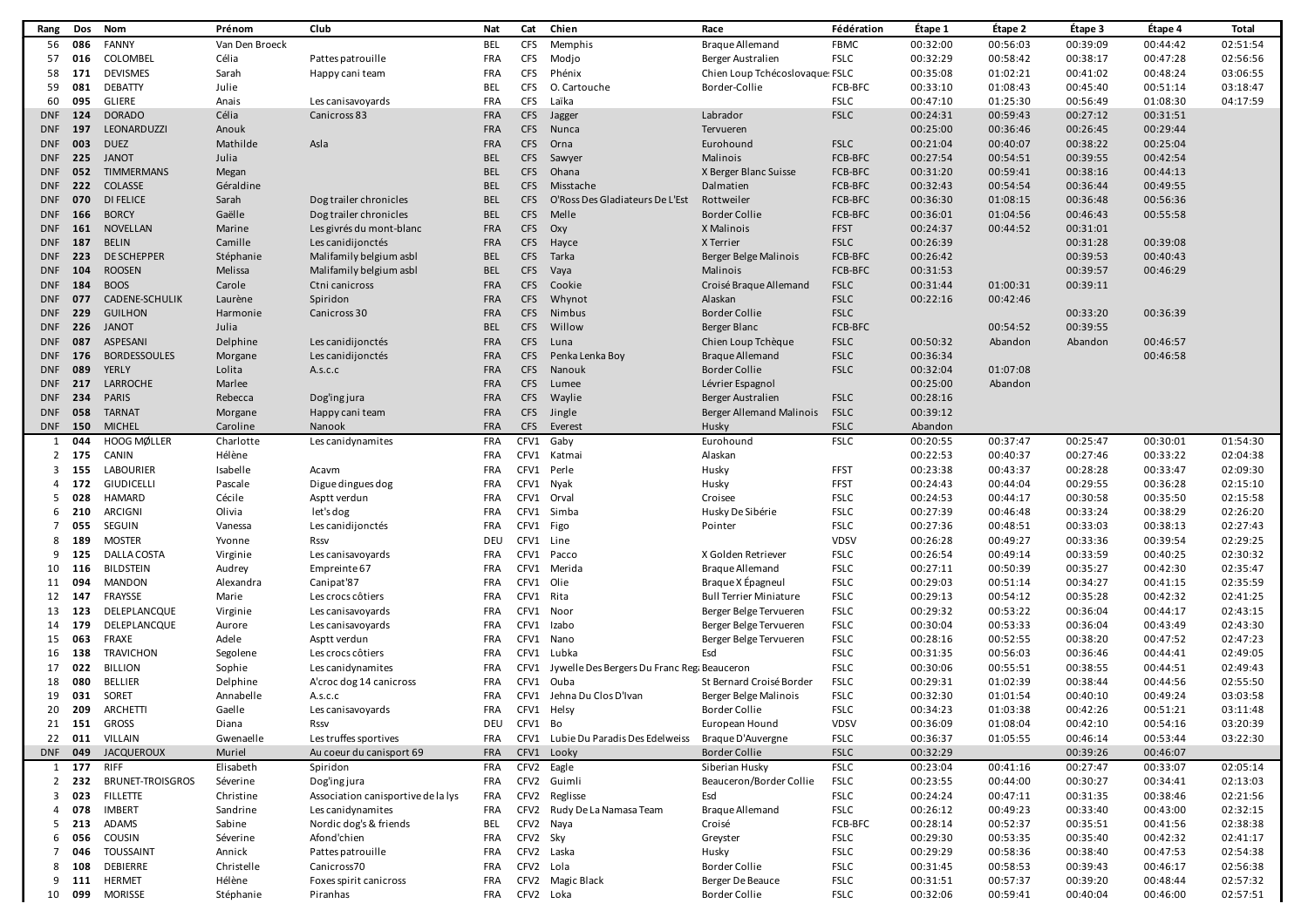| Rang                    | Dos     | Nom                     | Prénom         | Club                               | Nat        | Cat        | Chien                                       | Race                            | Fédération  | Étape 1  | Étape 2  | Étape 3  | Étape 4  | Total    |
|-------------------------|---------|-------------------------|----------------|------------------------------------|------------|------------|---------------------------------------------|---------------------------------|-------------|----------|----------|----------|----------|----------|
| 56                      | 086     | <b>FANNY</b>            | Van Den Broeck |                                    | <b>BEL</b> | <b>CFS</b> | Memphis                                     | <b>Braque Allemand</b>          | <b>FBMC</b> | 00:32:00 | 00:56:03 | 00:39:09 | 00:44:42 | 02:51:54 |
| 57                      | 016     | COLOMBEL                | Célia          | Pattes patrouille                  | <b>FRA</b> | <b>CFS</b> | Modjo                                       | Berger Australien               | <b>FSLC</b> | 00:32:29 | 00:58:42 | 00:38:17 | 00:47:28 | 02:56:56 |
| 58                      | 171     | <b>DEVISMES</b>         | Sarah          | Happy cani team                    | <b>FRA</b> | <b>CFS</b> | Phénix                                      | Chien Loup Tchécoslovaque: FSLC |             | 00:35:08 | 01:02:21 | 00:41:02 | 00:48:24 | 03:06:55 |
| 59                      | 081     | <b>DEBATTY</b>          | Julie          |                                    | <b>BEL</b> | <b>CFS</b> | O. Cartouche                                | Border-Collie                   | FCB-BFC     | 00:33:10 | 01:08:43 | 00:45:40 | 00:51:14 | 03:18:47 |
| 60                      | 095     | GLIERE                  | Anais          | Les canisavoyards                  | <b>FRA</b> | <b>CFS</b> | Laïka                                       |                                 | <b>FSLC</b> | 00:47:10 | 01:25:30 | 00:56:49 | 01:08:30 | 04:17:59 |
| <b>DNF</b>              | 124     | <b>DORADO</b>           | Célia          | Canicross 83                       | <b>FRA</b> | <b>CFS</b> | Jagger                                      | Labrador                        | <b>FSLC</b> | 00:24:31 | 00:59:43 | 00:27:12 | 00:31:51 |          |
| <b>DNF</b>              | 197     | LEONARDUZZI             | Anouk          |                                    | <b>FRA</b> | <b>CFS</b> | Nunca                                       | Tervueren                       |             | 00:25:00 | 00:36:46 | 00:26:45 | 00:29:44 |          |
| <b>DNF</b>              | 003     | <b>DUEZ</b>             | Mathilde       | Asla                               | <b>FRA</b> | <b>CFS</b> | Orna                                        | Eurohound                       | <b>FSLC</b> | 00:21:04 | 00:40:07 | 00:38:22 | 00:25:04 |          |
| <b>DNF</b>              | 225     | <b>JANOT</b>            | Julia          |                                    | <b>BEL</b> | <b>CFS</b> | Sawyer                                      | Malinois                        | FCB-BFC     | 00:27:54 | 00:54:51 | 00:39:55 | 00:42:54 |          |
| <b>DNF</b>              | 052     | <b>TIMMERMANS</b>       | Megan          |                                    | <b>BEL</b> | <b>CFS</b> | Ohana                                       | X Berger Blanc Suisse           | FCB-BFC     | 00:31:20 | 00:59:41 | 00:38:16 | 00:44:13 |          |
| <b>DNF</b>              | 222     | <b>COLASSE</b>          | Géraldine      |                                    | <b>BEL</b> | CFS        | Misstache                                   | Dalmatien                       | FCB-BFC     | 00:32:43 | 00:54:54 | 00:36:44 | 00:49:55 |          |
| <b>DNF</b>              | 070     | <b>DI FELICE</b>        | Sarah          | Dog trailer chronicles             | <b>BEL</b> | CFS        | O'Ross Des Gladiateurs De L'Est             | Rottweiler                      | FCB-BFC     | 00:36:30 | 01:08:15 | 00:36:48 | 00:56:36 |          |
| <b>DNF</b>              | 166     | <b>BORCY</b>            | Gaëlle         | Dog trailer chronicles             | <b>BEL</b> | CFS        | Melle                                       | <b>Border Collie</b>            | FCB-BFC     | 00:36:01 | 01:04:56 | 00:46:43 | 00:55:58 |          |
| <b>DNF</b>              | 161     | <b>NOVELLAN</b>         | Marine         | Les givrés du mont-blanc           | <b>FRA</b> | <b>CFS</b> | Oxy                                         | X Malinois                      | <b>FFST</b> | 00:24:37 | 00:44:52 | 00:31:01 |          |          |
| <b>DNF</b>              | 187     | <b>BELIN</b>            | Camille        | Les canidijonctés                  | <b>FRA</b> | CFS        | Hayce                                       | X Terrier                       | <b>FSLC</b> | 00:26:39 |          | 00:31:28 | 00:39:08 |          |
| <b>DNF</b>              | 223     | <b>DE SCHEPPER</b>      | Stéphanie      | Malifamily belgium asbl            | <b>BEL</b> | <b>CFS</b> | Tarka                                       | Berger Belge Malinois           | FCB-BFC     | 00:26:42 |          | 00:39:53 | 00:40:43 |          |
| <b>DNF</b>              | 104     | <b>ROOSEN</b>           | Melissa        | Malifamily belgium asbl            | <b>BEL</b> | <b>CFS</b> | Vaya                                        | Malinois                        | FCB-BFC     | 00:31:53 |          | 00:39:57 | 00:46:29 |          |
| <b>DNF</b>              | 184     | <b>BOOS</b>             | Carole         | Ctni canicross                     | <b>FRA</b> | <b>CFS</b> | Cookie                                      | Croisé Braque Allemand          | <b>FSLC</b> | 00:31:44 | 01:00:31 | 00:39:11 |          |          |
| <b>DNF</b>              | 077     | CADENE-SCHULIK          | Laurène        | Spiridon                           | <b>FRA</b> | <b>CFS</b> | Whynot                                      | Alaskan                         | <b>FSLC</b> | 00:22:16 | 00:42:46 |          |          |          |
| <b>DNF</b>              | 229     | <b>GUILHON</b>          | Harmonie       | Canicross 30                       | <b>FRA</b> | <b>CFS</b> | Nimbus                                      | <b>Border Collie</b>            | <b>FSLC</b> |          |          | 00:33:20 | 00:36:39 |          |
| <b>DNF</b>              | 226     | <b>JANOT</b>            | Julia          |                                    | <b>BEL</b> | <b>CFS</b> | Willow                                      | Berger Blanc                    | FCB-BFC     |          | 00:54:52 | 00:39:55 |          |          |
| <b>DNF</b>              | 087     | ASPESANI                | Delphine       | Les canidijonctés                  | <b>FRA</b> | <b>CFS</b> | Luna                                        | Chien Loup Tchèque              | <b>FSLC</b> | 00:50:32 | Abandon  | Abandon  | 00:46:57 |          |
| <b>DNF</b>              | 176     | <b>BORDESSOULES</b>     | Morgane        | Les canidijonctés                  | <b>FRA</b> | <b>CFS</b> | Penka Lenka Boy                             | <b>Braque Allemand</b>          | <b>FSLC</b> | 00:36:34 |          |          | 00:46:58 |          |
| <b>DNF</b>              | 089     | YERLY                   | Lolita         | A.s.c.c                            | <b>FRA</b> | <b>CFS</b> | Nanouk                                      | <b>Border Collie</b>            | <b>FSLC</b> | 00:32:04 | 01:07:08 |          |          |          |
| <b>DNF</b>              | 217     | LARROCHE                | Marlee         |                                    | <b>FRA</b> | CFS        | Lumee                                       | Lévrier Espagnol                |             | 00:25:00 | Abandon  |          |          |          |
| <b>DNF</b>              | 234     | <b>PARIS</b>            | Rebecca        | Dog'ing jura                       | <b>FRA</b> | <b>CFS</b> | Waylie                                      | Berger Australien               | <b>FSLC</b> | 00:28:16 |          |          |          |          |
| <b>DNF</b>              | 058     | <b>TARNAT</b>           | Morgane        | Happy cani team                    | <b>FRA</b> | <b>CFS</b> | Jingle                                      | Berger Allemand Malinois        | <b>FSLC</b> | 00:39:12 |          |          |          |          |
| <b>DNF</b>              | 150     | <b>MICHEL</b>           | Caroline       | Nanook                             | <b>FRA</b> | <b>CFS</b> | Everest                                     | Husky                           | <b>FSLC</b> | Abandon  |          |          |          |          |
| 1                       | 044     | <b>HOOG MØLLER</b>      | Charlotte      | Les canidynamites                  | FRA        | CFV1       | Gaby                                        | Eurohound                       | <b>FSLC</b> | 00:20:55 | 00:37:47 | 00:25:47 | 00:30:01 | 01:54:30 |
| $\overline{2}$          | 175     | CANIN                   | Hélène         |                                    | <b>FRA</b> |            | CFV1 Katmai                                 | Alaskan                         |             | 00:22:53 | 00:40:37 | 00:27:46 | 00:33:22 | 02:04:38 |
| 3                       | 155     | <b>LABOURIER</b>        | Isabelle       | Acavm                              | FRA        |            | CFV1 Perle                                  | Husky                           | <b>FFST</b> | 00:23:38 | 00:43:37 | 00:28:28 | 00:33:47 | 02:09:30 |
| 4                       | 172     | <b>GIUDICELLI</b>       | Pascale        | Digue dingues dog                  | FRA        | CFV1       | Nyak                                        | Husky                           | FFST        | 00:24:43 | 00:44:04 | 00:29:55 | 00:36:28 | 02:15:10 |
| 5                       | 028     | <b>HAMARD</b>           | Cécile         | Asptt verdun                       | <b>FRA</b> | CFV1       | Orval                                       | Croisee                         | <b>FSLC</b> | 00:24:53 | 00:44:17 | 00:30:58 | 00:35:50 | 02:15:58 |
| 6                       | 210     | ARCIGNI                 | Olivia         | let's dog                          | <b>FRA</b> | CFV1       | Simba                                       | Husky De Sibérie                | <b>FSLC</b> | 00:27:39 | 00:46:48 | 00:33:24 | 00:38:29 | 02:26:20 |
| 7                       | 055     | SEGUIN                  | Vanessa        | Les canidijonctés                  | <b>FRA</b> | CFV1 Figo  |                                             | Pointer                         | <b>FSLC</b> | 00:27:36 | 00:48:51 | 00:33:03 | 00:38:13 | 02:27:43 |
| 8                       | 189     | <b>MOSTER</b>           | Yvonne         | Rssv                               | DEL        | CFV1       | Line                                        |                                 | <b>VDSV</b> | 00:26:28 | 00:49:27 | 00:33:36 | 00:39:54 | 02:29:25 |
| 9                       | 125     | DALLA COSTA             | Virginie       | Les canisavoyards                  | <b>FRA</b> | CFV1       | Pacco                                       | X Golden Retriever              | <b>FSLC</b> | 00:26:54 | 00:49:14 | 00:33:59 | 00:40:25 | 02:30:32 |
| 10                      | 116     | <b>BILDSTEIN</b>        | Audrey         | Empreinte 67                       | <b>FRA</b> | CFV1       | Merida                                      | <b>Braque Allemand</b>          | <b>FSLC</b> | 00:27:11 | 00:50:39 | 00:35:27 | 00:42:30 | 02:35:47 |
| 11                      | 094     | <b>MANDON</b>           | Alexandra      | Canipat'87                         | <b>FRA</b> | CFV1 Olie  |                                             | Braque X Epagneul               | <b>FSLC</b> | 00:29:03 | 00:51:14 | 00:34:27 | 00:41:15 | 02:35:59 |
| 12                      | 147     | FRAYSSE                 | Marie          | Les crocs côtiers                  | <b>FRA</b> | CFV1       | Rita                                        | <b>Bull Terrier Miniature</b>   | <b>FSLC</b> | 00:29:13 | 00:54:12 | 00:35:28 | 00:42:32 | 02:41:25 |
| 13                      | 123     | DELEPLANCQUE            | Virginie       | Les canisavoyards                  | <b>FRA</b> | CFV1       | Noor                                        | Berger Belge Tervueren          | <b>FSLC</b> | 00:29:32 | 00:53:22 | 00:36:04 | 00:44:17 | 02:43:15 |
| 14                      | 179     | DELEPLANCOUE            | Aurore         | Les canisavoyards                  | <b>FRA</b> | CFV1       | Izabo                                       | Berger Belge Tervueren          | <b>FSLC</b> | 00:30:04 | 00:53:33 | 00:36:04 | 00:43:49 | 02:43:30 |
| 15                      | 063     | <b>FRAXE</b>            | Adele          | Asptt verdun                       | <b>FRA</b> | CFV1       | Nano                                        | Berger Belge Tervueren          | <b>FSLC</b> | 00:28:16 | 00:52:55 | 00:38:20 | 00:47:52 | 02:47:23 |
| 16                      | 138     | <b>TRAVICHON</b>        | Segolene       | Les crocs côtiers                  | FRA        | CFV1       | Lubka                                       | Esd                             | <b>FSLC</b> | 00:31:35 | 00:56:03 | 00:36:46 | 00:44:41 | 02:49:05 |
| 17                      | 022     | <b>BILLION</b>          | Sophie         | Les canidynamites                  | <b>FRA</b> | CFV1       | Jywelle Des Bergers Du Franc Reg: Beauceron |                                 | <b>FSLC</b> | 00:30:06 | 00:55:51 | 00:38:55 | 00:44:51 | 02:49:43 |
| 18                      | 080     | <b>BELLIER</b>          | Delphine       | A'croc dog 14 canicross            | FRA        | CFV1       | Ouba                                        | St Bernard Croisé Border        | <b>FSLC</b> | 00:29:31 | 01:02:39 | 00:38:44 | 00:44:56 | 02:55:50 |
| 19                      | 031     | SORET                   | Annabelle      | A.s.c.c                            | <b>FRA</b> | CFV1       | Jehna Du Clos D'Ivan                        | Berger Belge Malinois           | <b>FSLC</b> | 00:32:30 | 01:01:54 | 00:40:10 | 00:49:24 | 03:03:58 |
| 20                      | 209     | ARCHETTI                | Gaelle         | Les canisavoyards                  | <b>FRA</b> | CFV1       | Helsy                                       | <b>Border Collie</b>            | <b>FSLC</b> | 00:34:23 | 01:03:38 | 00:42:26 | 00:51:21 | 03:11:48 |
|                         |         | 21 151 GROSS            | Diana          | Rssv                               | DEU        | CFV1 Bo    |                                             | European Hound                  | <b>VDSV</b> | 00:36:09 | 01:08:04 | 00:42:10 | 00:54:16 | 03:20:39 |
|                         |         | 22 011 VILLAIN          | Gwenaelle      | Les truffes sportives              | FRA        |            | CFV1 Lubie Du Paradis Des Edelweiss         | Braque D'Auvergne               | <b>FSLC</b> | 00:36:37 | 01:05:55 | 00:46:14 | 00:53:44 | 03:22:30 |
| <b>DNF</b>              | 049     | <b>JACQUEROUX</b>       | Muriel         | Au coeur du canisport 69           | <b>FRA</b> |            | CFV1 Looky                                  | <b>Border Collie</b>            | <b>FSLC</b> | 00:32:29 |          | 00:39:26 | 00:46:07 |          |
| 1                       | 177     | RIFF                    | Elisabeth      | Spiridon                           | FRA        |            | CFV2 Eagle                                  | Siberian Husky                  | <b>FSLC</b> | 00:23:04 | 00:41:16 | 00:27:47 | 00:33:07 | 02:05:14 |
|                         | $2$ 232 | <b>BRUNET-TROISGROS</b> | Séverine       | Dog'ing jura                       | FRA        |            | CFV2 Guimli                                 | Beauceron/Border Collie         | <b>FSLC</b> | 00:23:55 | 00:44:00 | 00:30:27 | 00:34:41 | 02:13:03 |
| $\overline{\mathbf{3}}$ | 023     | <b>FILLETTE</b>         | Christine      | Association canisportive de la lys | FRA        |            | CFV2 Reglisse                               | Esd                             | <b>FSLC</b> | 00:24:24 | 00:47:11 | 00:31:35 | 00:38:46 | 02:21:56 |
| 4                       | 078     | <b>IMBERT</b>           | Sandrine       | Les canidynamites                  | FRA        |            | CFV2 Rudy De La Namasa Team                 | <b>Braque Allemand</b>          | <b>FSLC</b> | 00:26:12 | 00:49:23 | 00:33:40 | 00:43:00 | 02:32:15 |
|                         | $5$ 213 | ADAMS                   | Sabine         | Nordic dog's & friends             | <b>BEL</b> | CFV2 Naya  |                                             | Croisé                          | FCB-BFC     | 00:28:14 | 00:52:37 | 00:35:51 | 00:41:56 | 02:38:38 |
| 6                       | 056     | <b>COUSIN</b>           | Séverine       | Afond'chien                        | FRA        | CFV2 Sky   |                                             | Greyster                        | <b>FSLC</b> | 00:29:30 | 00:53:35 | 00:35:40 | 00:42:32 | 02:41:17 |
| 7                       | 046     | <b>TOUSSAINT</b>        | Annick         | Pattes patrouille                  | FRA        |            | CFV2 Laska                                  | Husky                           | <b>FSLC</b> | 00:29:29 | 00:58:36 | 00:38:40 | 00:47:53 | 02:54:38 |
| 8                       | 108     | DEBIERRE                | Christelle     | Canicross70                        | FRA        | CFV2 Lola  |                                             | <b>Border Collie</b>            | <b>FSLC</b> | 00:31:45 | 00:58:53 | 00:39:43 | 00:46:17 | 02:56:38 |
| 9                       | 111     | <b>HERMET</b>           | Hélène         | Foxes spirit canicross             | FRA        |            | CFV2 Magic Black                            | Berger De Beauce                | <b>FSLC</b> | 00:31:51 | 00:57:37 | 00:39:20 | 00:48:44 | 02:57:32 |
| 10                      | 099     | <b>MORISSE</b>          | Stéphanie      | Piranhas                           | <b>FRA</b> | CFV2 Loka  |                                             | <b>Border Collie</b>            | <b>FSLC</b> | 00:32:06 | 00:59:41 | 00:40:04 | 00:46:00 | 02:57:51 |
|                         |         |                         |                |                                    |            |            |                                             |                                 |             |          |          |          |          |          |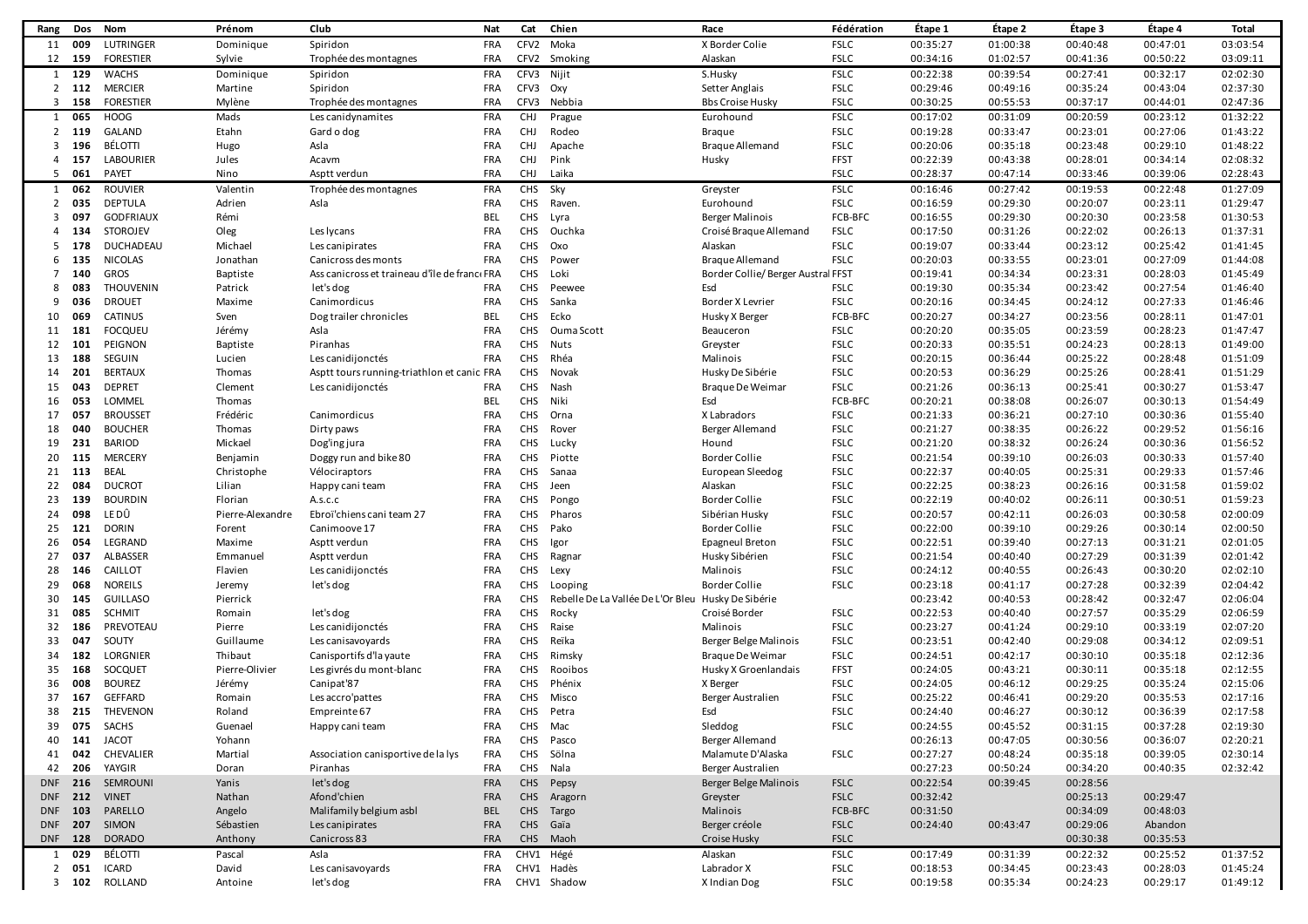| Rang           | Dos           | Nom              | Prénom           | Club                                         | Nat        | Cat        | Chien                             | Race                               | Fédération  | Étape 1  | Étape 2  | Étape 3  | Étape 4  | Total    |
|----------------|---------------|------------------|------------------|----------------------------------------------|------------|------------|-----------------------------------|------------------------------------|-------------|----------|----------|----------|----------|----------|
| 11             | 009           | LUTRINGER        | Dominique        | Spiridon                                     | FRA        |            | CFV2 Moka                         | X Border Colie                     | <b>FSLC</b> | 00:35:27 | 01:00:38 | 00:40:48 | 00:47:01 | 03:03:54 |
|                | 12 159        | <b>FORESTIER</b> | Sylvie           | Trophée des montagnes                        | <b>FRA</b> |            | CFV2 Smoking                      | Alaskan                            | <b>FSLC</b> | 00:34:16 | 01:02:57 | 00:41:36 | 00:50:22 | 03:09:11 |
|                | $1 \quad 129$ | <b>WACHS</b>     | Dominique        | Spiridon                                     | FRA        | CFV3 Nijit |                                   | S.Husky                            | <b>FSLC</b> | 00:22:38 | 00:39:54 | 00:27:41 | 00:32:17 | 02:02:30 |
|                | $2$ 112       | <b>MERCIER</b>   | Martine          | Spiridon                                     | <b>FRA</b> | CFV3 Oxy   |                                   | Setter Anglais                     | <b>FSLC</b> | 00:29:46 | 00:49:16 | 00:35:24 | 00:43:04 | 02:37:30 |
| $3^{\circ}$    | 158           | <b>FORESTIER</b> | Mylène           | Trophée des montagnes                        | <b>FRA</b> | CFV3       | Nebbia                            | <b>Bbs Croise Husky</b>            | <b>FSLC</b> | 00:30:25 | 00:55:53 | 00:37:17 | 00:44:01 | 02:47:36 |
|                | 1 065         | <b>HOOG</b>      | Mads             | Les canidynamites                            | FRA        | CHJ        | Prague                            | Eurohound                          | <b>FSLC</b> | 00:17:02 | 00:31:09 | 00:20:59 | 00:23:12 | 01:32:22 |
| $\overline{2}$ | 119           | <b>GALAND</b>    | Etahn            | Gard o dog                                   | <b>FRA</b> | <b>CHJ</b> | Rodeo                             | <b>Braque</b>                      | <b>FSLC</b> | 00:19:28 | 00:33:47 | 00:23:01 | 00:27:06 | 01:43:22 |
| 3              | 196           | BÉLOTTI          |                  | Asla                                         | <b>FRA</b> | <b>CHJ</b> |                                   | <b>Brague Allemand</b>             | <b>FSLC</b> | 00:20:06 | 00:35:18 | 00:23:48 | 00:29:10 | 01:48:22 |
|                |               | <b>LABOURIER</b> | Hugo             |                                              | <b>FRA</b> | <b>CHJ</b> | Apache                            |                                    | <b>FFST</b> | 00:22:39 | 00:43:38 |          | 00:34:14 | 02:08:32 |
| 4              | 157           |                  | Jules            | Acavm                                        |            |            | Pink                              | Husky                              |             |          |          | 00:28:01 |          |          |
| 5              | 061           | PAYET            | Nino             | Asptt verdun                                 | <b>FRA</b> | <b>CHJ</b> | Laika                             |                                    | <b>FSLC</b> | 00:28:37 | 00:47:14 | 00:33:46 | 00:39:06 | 02:28:43 |
| 1              | 062           | <b>ROUVIER</b>   | Valentin         | Trophée des montagnes                        | <b>FRA</b> | <b>CHS</b> | Sky                               | Greyster                           | <b>FSLC</b> | 00:16:46 | 00:27:42 | 00:19:53 | 00:22:48 | 01:27:09 |
|                | 2 035         | <b>DEPTULA</b>   | Adrien           | Asla                                         | <b>FRA</b> |            | CHS Raven.                        | Eurohound                          | <b>FSLC</b> | 00:16:59 | 00:29:30 | 00:20:07 | 00:23:11 | 01:29:47 |
| 3              | 097           | <b>GODFRIAUX</b> | Rémi             |                                              | <b>BEL</b> | CHS        | Lyra                              | <b>Berger Malinois</b>             | FCB-BFC     | 00:16:55 | 00:29:30 | 00:20:30 | 00:23:58 | 01:30:53 |
| 4              | 134           | <b>STOROJEV</b>  | Oleg             | Les lycans                                   | <b>FRA</b> | CHS        | Ouchka                            | Croisé Braque Allemand             | <b>FSLC</b> | 00:17:50 | 00:31:26 | 00:22:02 | 00:26:13 | 01:37:31 |
| 5              | 178           | DUCHADEAU        | Michael          | Les canipirates                              | <b>FRA</b> | CHS Oxo    |                                   | Alaskan                            | <b>FSLC</b> | 00:19:07 | 00:33:44 | 00:23:12 | 00:25:42 | 01:41:45 |
| 6              | 135           | <b>NICOLAS</b>   | Jonathan         | Canicross des monts                          | <b>FRA</b> |            | CHS Power                         | <b>Braque Allemand</b>             | <b>FSLC</b> | 00:20:03 | 00:33:55 | 00:23:01 | 00:27:09 | 01:44:08 |
| 7              | 140           | GROS             | <b>Baptiste</b>  | Ass canicross et traineau d'île de franc FRA |            | <b>CHS</b> | Loki                              | Border Collie/ Berger Austral FFST |             | 00:19:41 | 00:34:34 | 00:23:31 | 00:28:03 | 01:45:49 |
| 8              | 083           | THOUVENIN        | Patrick          | let's dog                                    | <b>FRA</b> | <b>CHS</b> | Peewee                            | Esd                                | <b>FSLC</b> | 00:19:30 | 00:35:34 | 00:23:42 | 00:27:54 | 01:46:40 |
| 9              | 036           | <b>DROUET</b>    | Maxime           | Canimordicus                                 | <b>FRA</b> | CHS        | Sanka                             | Border X Levrier                   | <b>FSLC</b> | 00:20:16 | 00:34:45 | 00:24:12 | 00:27:33 | 01:46:46 |
| 10             | 069           | CATINUS          | Sven             | Dog trailer chronicles                       | <b>BEL</b> |            | CHS Ecko                          | Husky X Berger                     | FCB-BFC     | 00:20:27 | 00:34:27 | 00:23:56 | 00:28:11 | 01:47:01 |
| 11             | 181           | <b>FOCQUEU</b>   | Jérémy           | Asla                                         | <b>FRA</b> | CHS        | Ouma Scott                        | Beauceron                          | <b>FSLC</b> | 00:20:20 | 00:35:05 | 00:23:59 | 00:28:23 | 01:47:47 |
| 12             | 101           | PEIGNON          | Baptiste         | Piranhas                                     | <b>FRA</b> |            | CHS Nuts                          | Greyster                           | <b>FSLC</b> | 00:20:33 | 00:35:51 | 00:24:23 | 00:28:13 | 01:49:00 |
| 13             | 188           | SEGUIN           | Lucien           | Les canidijonctés                            | <b>FRA</b> |            | CHS Rhéa                          | Malinois                           | <b>FSLC</b> | 00:20:15 | 00:36:44 | 00:25:22 | 00:28:48 | 01:51:09 |
| 14             | 201           | <b>BERTAUX</b>   | Thomas           | Asptt tours running-triathlon et canic FRA   |            | <b>CHS</b> | Novak                             | Husky De Sibérie                   | <b>FSLC</b> | 00:20:53 | 00:36:29 | 00:25:26 | 00:28:41 | 01:51:29 |
| 15             | 043           | <b>DEPRET</b>    | Clement          | Les canidijonctés                            | <b>FRA</b> |            | CHS Nash                          | Braque De Weimar                   | <b>FSLC</b> | 00:21:26 | 00:36:13 | 00:25:41 | 00:30:27 | 01:53:47 |
| 16             | 053           | LOMMEL           | Thomas           |                                              | <b>BEL</b> | CHS Niki   |                                   | Esd                                | FCB-BFC     | 00:20:21 | 00:38:08 | 00:26:07 | 00:30:13 | 01:54:49 |
| 17             | 057           | <b>BROUSSET</b>  | Frédéric         | Canimordicus                                 | <b>FRA</b> | CHS        | Orna                              | X Labradors                        | <b>FSLC</b> | 00:21:33 | 00:36:21 | 00:27:10 | 00:30:36 | 01:55:40 |
| 18             | 040           | <b>BOUCHER</b>   | Thomas           | Dirty paws                                   | <b>FRA</b> | CHS        | Rover                             | Berger Allemand                    | <b>FSLC</b> | 00:21:27 | 00:38:35 | 00:26:22 | 00:29:52 | 01:56:16 |
| 19             | 231           | <b>BARIOD</b>    | Mickael          | Dog'ing jura                                 | <b>FRA</b> |            | CHS Lucky                         | Hound                              | <b>FSLC</b> | 00:21:20 | 00:38:32 | 00:26:24 | 00:30:36 | 01:56:52 |
| 20             | 115           | <b>MERCERY</b>   | Benjamin         | Doggy run and bike 80                        | <b>FRA</b> | CHS        | Piotte                            | <b>Border Collie</b>               | <b>FSLC</b> | 00:21:54 | 00:39:10 | 00:26:03 | 00:30:33 | 01:57:40 |
| 21             | 113           | <b>BEAL</b>      | Christophe       | Vélociraptors                                | <b>FRA</b> | CHS        | Sanaa                             | European Sleedog                   | <b>FSLC</b> | 00:22:37 | 00:40:05 | 00:25:31 | 00:29:33 | 01:57:46 |
| 22             | 084           | <b>DUCROT</b>    | Lilian           |                                              | <b>FRA</b> | <b>CHS</b> | Jeen                              | Alaskan                            | <b>FSLC</b> | 00:22:25 | 00:38:23 | 00:26:16 | 00:31:58 | 01:59:02 |
| 23             |               | <b>BOURDIN</b>   |                  | Happy cani team                              | <b>FRA</b> |            |                                   |                                    | <b>FSLC</b> |          |          |          | 00:30:51 | 01:59:23 |
|                | 139           | LE DÛ            | Florian          | A.s.c.c                                      |            | CHS        | Pongo                             | <b>Border Collie</b>               |             | 00:22:19 | 00:40:02 | 00:26:11 |          |          |
| 24             | 098           |                  | Pierre-Alexandre | Ebroï'chiens cani team 27                    | FRA        | <b>CHS</b> | Pharos                            | Sibérian Husky                     | <b>FSLC</b> | 00:20:57 | 00:42:11 | 00:26:03 | 00:30:58 | 02:00:09 |
| 25             | 121           | <b>DORIN</b>     | Forent           | Canimoove 17                                 | <b>FRA</b> | CHS        | Pako                              | <b>Border Collie</b>               | <b>FSLC</b> | 00:22:00 | 00:39:10 | 00:29:26 | 00:30:14 | 02:00:50 |
| 26             | 054           | LEGRAND          | Maxime           | Asptt verdun                                 | <b>FRA</b> | CHS        | Igor                              | <b>Epagneul Breton</b>             | <b>FSLC</b> | 00:22:51 | 00:39:40 | 00:27:13 | 00:31:21 | 02:01:05 |
| 27             | 037           | ALBASSER         | Emmanuel         | Asptt verdun                                 | <b>FRA</b> | CHS        | Ragnar                            | Husky Sibérien                     | <b>FSLC</b> | 00:21:54 | 00:40:40 | 00:27:29 | 00:31:39 | 02:01:42 |
| 28             | 146           | CAILLOT          | Flavien          | Les canidijonctés                            | FRA        | CHS        | Lexy                              | Malinois                           | <b>FSLC</b> | 00:24:12 | 00:40:55 | 00:26:43 | 00:30:20 | 02:02:10 |
| 29             | 068           | <b>NOREILS</b>   | Jeremy           | let's dog                                    | <b>FRA</b> | <b>CHS</b> | Looping                           | <b>Border Collie</b>               | <b>FSLC</b> | 00:23:18 | 00:41:17 | 00:27:28 | 00:32:39 | 02:04:42 |
| 30             | 145           | <b>GUILLASO</b>  | Pierrick         |                                              | <b>FRA</b> | <b>CHS</b> | Rebelle De La Vallée De L'Or Bleu | Husky De Sibérie                   |             | 00:23:42 | 00:40:53 | 00:28:42 | 00:32:47 | 02:06:04 |
| 31             | 085           | <b>SCHMIT</b>    | Romain           | let's dog                                    | <b>FRA</b> | <b>CHS</b> | Rocky                             | Croisé Border                      | <b>FSLC</b> | 00:22:53 | 00:40:40 | 00:27:57 | 00:35:29 | 02:06:59 |
| 32             | 186           | PREVOTEAU        | Pierre           | Les canidijonctés                            | <b>FRA</b> |            | CHS Raise                         | Malinois                           | <b>FSLC</b> | 00:23:27 | 00:41:24 | 00:29:10 | 00:33:19 | 02:07:20 |
| 33             | 047           | SOUTY            | Guillaume        | Les canisavoyards                            | <b>FRA</b> |            | CHS Reïka                         | Berger Belge Malinois              | <b>FSLC</b> | 00:23:51 | 00:42:40 | 00:29:08 | 00:34:12 | 02:09:51 |
| 34             | 182           | LORGNIER         | Thibaut          | Canisportifs d'la yaute                      | <b>FRA</b> | CHS        | Rimsky                            | Braque De Weimar                   | <b>FSLC</b> | 00:24:51 | 00:42:17 | 00:30:10 | 00:35:18 | 02:12:36 |
| 35             | 168           | SOCQUET          | Pierre-Olivier   | Les givrés du mont-blanc                     | <b>FRA</b> | CHS        | Rooibos                           | Husky X Groenlandais               | <b>FFST</b> | 00:24:05 | 00:43:21 | 00:30:11 | 00:35:18 | 02:12:55 |
| 36             | 008           | <b>BOUREZ</b>    | Jérémy           | Canipat'87                                   | <b>FRA</b> | <b>CHS</b> | Phénix                            | X Berger                           | <b>FSLC</b> | 00:24:05 | 00:46:12 | 00:29:25 | 00:35:24 | 02:15:06 |
| 37             | 167           | <b>GEFFARD</b>   | Romain           | Les accro'pattes                             | <b>FRA</b> | <b>CHS</b> | Misco                             | Berger Australien                  | <b>FSLC</b> | 00:25:22 | 00:46:41 | 00:29:20 | 00:35:53 | 02:17:16 |
| 38             | 215           | <b>THEVENON</b>  | Roland           | Empreinte 67                                 | <b>FRA</b> | <b>CHS</b> | Petra                             | Esd                                | <b>FSLC</b> | 00:24:40 | 00:46:27 | 00:30:12 | 00:36:39 | 02:17:58 |
| 39             |               | 075 SACHS        | Guenael          | Happy cani team                              | FRA        | CHS Mac    |                                   | Sleddog                            | <b>FSLC</b> | 00:24:55 | 00:45:52 | 00:31:15 | 00:37:28 | 02:19:30 |
| 40             | 141           | <b>JACOT</b>     | Yohann           |                                              | <b>FRA</b> |            | CHS Pasco                         | Berger Allemand                    |             | 00:26:13 | 00:47:05 | 00:30:56 | 00:36:07 | 02:20:21 |
| 41             | 042           | CHEVALIER        | Martial          | Association canisportive de la lys           | FRA        |            | CHS Sölna                         | Malamute D'Alaska                  | FSLC        | 00:27:27 | 00:48:24 | 00:35:18 | 00:39:05 | 02:30:14 |
| 42             | 206           | YAYGIR           | Doran            | Piranhas                                     | FRA        | CHS Nala   |                                   | Berger Australien                  |             | 00:27:23 | 00:50:24 | 00:34:20 | 00:40:35 | 02:32:42 |
| <b>DNF</b>     | 216           | SEMROUNI         | Yanis            | let's dog                                    | <b>FRA</b> |            | CHS Pepsy                         | Berger Belge Malinois              | <b>FSLC</b> | 00:22:54 | 00:39:45 | 00:28:56 |          |          |
| <b>DNF</b>     | 212           | <b>VINET</b>     | Nathan           | Afond'chien                                  | <b>FRA</b> |            | CHS Aragorn                       | Greyster                           | <b>FSLC</b> | 00:32:42 |          | 00:25:13 | 00:29:47 |          |
| <b>DNF</b>     | 103           | PARELLO          | Angelo           | Malifamily belgium asbl                      | <b>BEL</b> |            | CHS Targo                         | Malinois                           | FCB-BFC     | 00:31:50 |          | 00:34:09 | 00:48:03 |          |
| <b>DNF</b>     | 207           | SIMON            | Sébastien        | Les canipirates                              | <b>FRA</b> | CHS Gaïa   |                                   | Berger créole                      | <b>FSLC</b> | 00:24:40 | 00:43:47 | 00:29:06 | Abandon  |          |
| <b>DNF</b>     | 128           | <b>DORADO</b>    | Anthony          | Canicross 83                                 | <b>FRA</b> |            | CHS Maoh                          | Croise Husky                       | <b>FSLC</b> |          |          | 00:30:38 | 00:35:53 |          |
|                |               |                  |                  |                                              |            |            |                                   |                                    |             |          |          |          |          |          |
| 1              | 029           | BÉLOTTI          | Pascal           | Asla                                         | FRA        | CHV1 Hégé  |                                   | Alaskan                            | <b>FSLC</b> | 00:17:49 | 00:31:39 | 00:22:32 | 00:25:52 | 01:37:52 |
| $\overline{2}$ | 051           | <b>ICARD</b>     | David            | Les canisavoyards                            | FRA        |            | CHV1 Hadès                        | Labrador X                         | <b>FSLC</b> | 00:18:53 | 00:34:45 | 00:23:43 | 00:28:03 | 01:45:24 |
|                |               | 3 102 ROLLAND    | Antoine          | let's dog                                    | FRA        |            | CHV1 Shadow                       | X Indian Dog                       | <b>FSLC</b> | 00:19:58 | 00:35:34 | 00:24:23 | 00:29:17 | 01:49:12 |